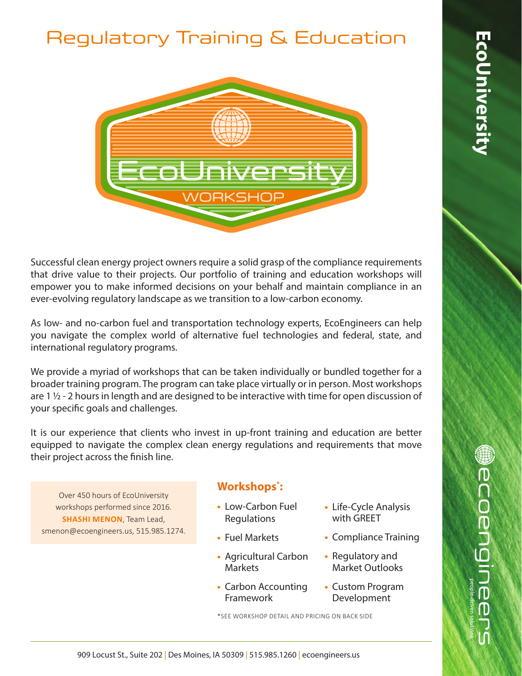## Regulatory Training & Education



Successful clean energy project owners require a solid grasp of the compliance requirements that drive value to their projects. Our portfolio of training and education workshops will empower you to make informed decisions on your behalf and maintain compliance in an ever-evolving regulatory landscape as we transition to a low-carbon economy.

As low- and no-carbon fuel and transportation technology experts, EcoEngineers can help you navigate the complex world of alternative fuel technologies and federal, state, and international regulatory programs.

We provide a myriad of workshops that can be taken individually or bundled together for a broader training program. The program can take place virtually or in person. Most workshops are 1 $\frac{1}{2}$  - 2 hours in length and are designed to be interactive with time for open discussion of your specific goals and challenges.

It is our experience that clients who invest in up-front training and education are better equipped to navigate the complex clean energy regulations and requirements that move their project across the finish line.

Over 450 hours of EcoUniversity workshops performed since 2016. **SHASHI MENON**, Team Lead, smenon@ecoengineers.us, 515.985.1274.

## **Workshops\* :**

- **•** Low-Carbon Fuel Regulations
- **•** Fuel Markets
- **•** Agricultural Carbon Markets
- **•** Carbon Accounting Framework
- **•** Life-Cycle Analysis with GREET
- **•** Compliance Training
- **•** Regulatory and Market Outlooks
- **•** Custom Program Development

\*SEE WORKSHOP DETAIL AND PRICING ON BACK SIDE

**Wecoengineer**